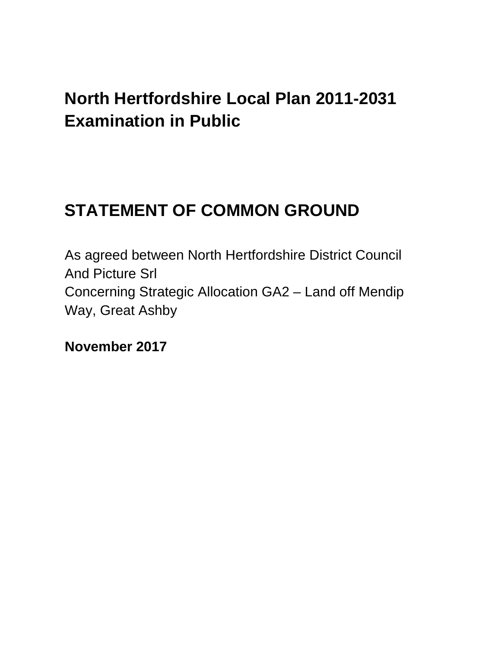## **North Hertfordshire Local Plan 2011-2031 Examination in Public**

# **STATEMENT OF COMMON GROUND**

As agreed between North Hertfordshire District Council And Picture Srl Concerning Strategic Allocation GA2 – Land off Mendip Way, Great Ashby

**November 2017**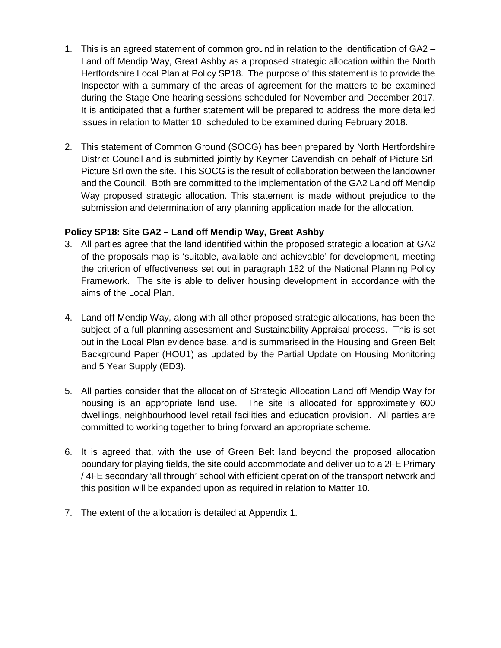- 1. This is an agreed statement of common ground in relation to the identification of GA2 Land off Mendip Way, Great Ashby as a proposed strategic allocation within the North Hertfordshire Local Plan at Policy SP18. The purpose of this statement is to provide the Inspector with a summary of the areas of agreement for the matters to be examined during the Stage One hearing sessions scheduled for November and December 2017. It is anticipated that a further statement will be prepared to address the more detailed issues in relation to Matter 10, scheduled to be examined during February 2018.
- 2. This statement of Common Ground (SOCG) has been prepared by North Hertfordshire District Council and is submitted jointly by Keymer Cavendish on behalf of Picture Srl. Picture Srl own the site. This SOCG is the result of collaboration between the landowner and the Council. Both are committed to the implementation of the GA2 Land off Mendip Way proposed strategic allocation. This statement is made without prejudice to the submission and determination of any planning application made for the allocation.

## **Policy SP18: Site GA2 – Land off Mendip Way, Great Ashby**

- 3. All parties agree that the land identified within the proposed strategic allocation at GA2 of the proposals map is 'suitable, available and achievable' for development, meeting the criterion of effectiveness set out in paragraph 182 of the National Planning Policy Framework. The site is able to deliver housing development in accordance with the aims of the Local Plan.
- 4. Land off Mendip Way, along with all other proposed strategic allocations, has been the subject of a full planning assessment and Sustainability Appraisal process. This is set out in the Local Plan evidence base, and is summarised in the Housing and Green Belt Background Paper (HOU1) as updated by the Partial Update on Housing Monitoring and 5 Year Supply (ED3).
- 5. All parties consider that the allocation of Strategic Allocation Land off Mendip Way for housing is an appropriate land use. The site is allocated for approximately 600 dwellings, neighbourhood level retail facilities and education provision. All parties are committed to working together to bring forward an appropriate scheme.
- 6. It is agreed that, with the use of Green Belt land beyond the proposed allocation boundary for playing fields, the site could accommodate and deliver up to a 2FE Primary / 4FE secondary 'all through' school with efficient operation of the transport network and this position will be expanded upon as required in relation to Matter 10.
- 7. The extent of the allocation is detailed at Appendix 1.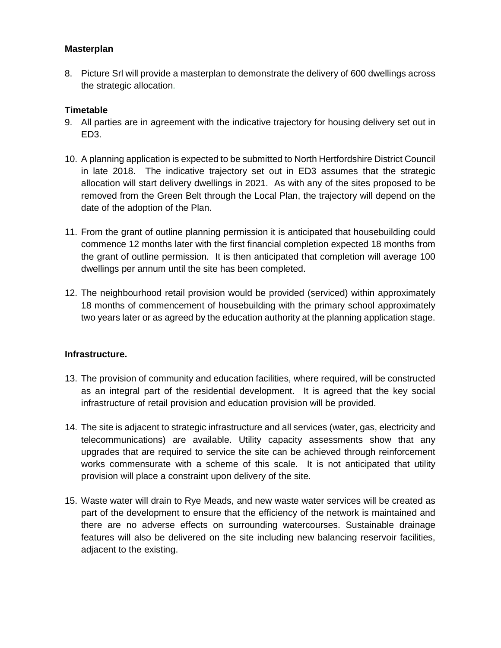#### **Masterplan**

8. Picture Srl will provide a masterplan to demonstrate the delivery of 600 dwellings across the strategic allocation.

#### **Timetable**

- 9. All parties are in agreement with the indicative trajectory for housing delivery set out in ED3.
- 10. A planning application is expected to be submitted to North Hertfordshire District Council in late 2018. The indicative trajectory set out in ED3 assumes that the strategic allocation will start delivery dwellings in 2021. As with any of the sites proposed to be removed from the Green Belt through the Local Plan, the trajectory will depend on the date of the adoption of the Plan.
- 11. From the grant of outline planning permission it is anticipated that housebuilding could commence 12 months later with the first financial completion expected 18 months from the grant of outline permission. It is then anticipated that completion will average 100 dwellings per annum until the site has been completed.
- 12. The neighbourhood retail provision would be provided (serviced) within approximately 18 months of commencement of housebuilding with the primary school approximately two years later or as agreed by the education authority at the planning application stage.

## **Infrastructure.**

- 13. The provision of community and education facilities, where required, will be constructed as an integral part of the residential development. It is agreed that the key social infrastructure of retail provision and education provision will be provided.
- 14. The site is adjacent to strategic infrastructure and all services (water, gas, electricity and telecommunications) are available. Utility capacity assessments show that any upgrades that are required to service the site can be achieved through reinforcement works commensurate with a scheme of this scale. It is not anticipated that utility provision will place a constraint upon delivery of the site.
- 15. Waste water will drain to Rye Meads, and new waste water services will be created as part of the development to ensure that the efficiency of the network is maintained and there are no adverse effects on surrounding watercourses. Sustainable drainage features will also be delivered on the site including new balancing reservoir facilities, adjacent to the existing.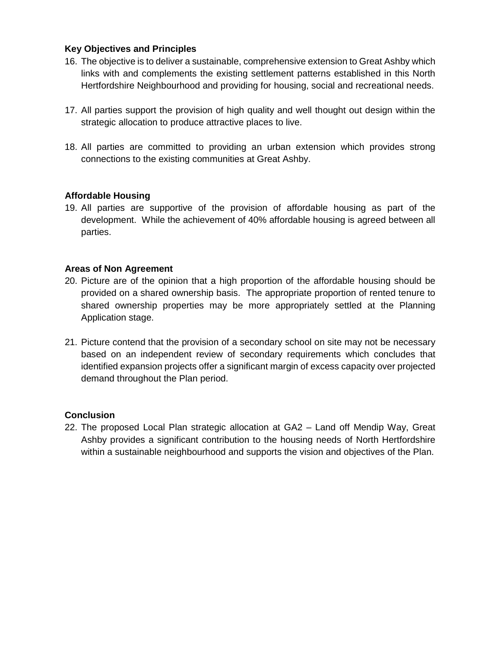#### **Key Objectives and Principles**

- 16. The objective is to deliver a sustainable, comprehensive extension to Great Ashby which links with and complements the existing settlement patterns established in this North Hertfordshire Neighbourhood and providing for housing, social and recreational needs.
- 17. All parties support the provision of high quality and well thought out design within the strategic allocation to produce attractive places to live.
- 18. All parties are committed to providing an urban extension which provides strong connections to the existing communities at Great Ashby.

#### **Affordable Housing**

19. All parties are supportive of the provision of affordable housing as part of the development. While the achievement of 40% affordable housing is agreed between all parties.

#### **Areas of Non Agreement**

- 20. Picture are of the opinion that a high proportion of the affordable housing should be provided on a shared ownership basis. The appropriate proportion of rented tenure to shared ownership properties may be more appropriately settled at the Planning Application stage.
- 21. Picture contend that the provision of a secondary school on site may not be necessary based on an independent review of secondary requirements which concludes that identified expansion projects offer a significant margin of excess capacity over projected demand throughout the Plan period.

#### **Conclusion**

22. The proposed Local Plan strategic allocation at GA2 – Land off Mendip Way, Great Ashby provides a significant contribution to the housing needs of North Hertfordshire within a sustainable neighbourhood and supports the vision and objectives of the Plan.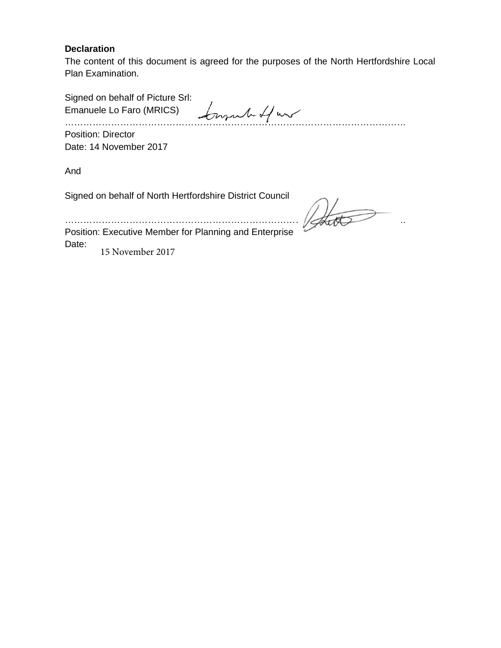#### **Declaration**

The content of this document is agreed for the purposes of the North Hertfordshire Local Plan Examination.

Signed on behalf of Picture Srl: Emanuele Lo Faro (MRICS) …………………………………………………………………………………………………

Position: Director Date: 14 November 2017

And

Signed on behalf of North Hertfordshire District Council

 $\mathbb{R}$ 

Position: Executive Member for Planning and Enterprise Date: 15 November 2017